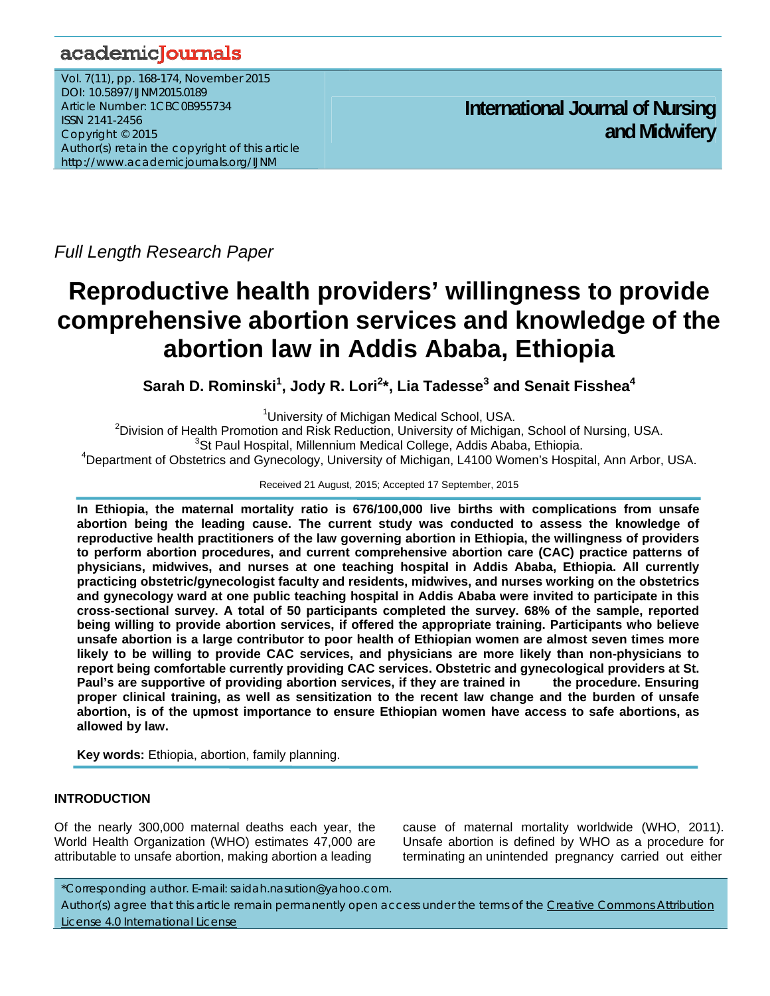# academicJournals

Vol. 7(11), pp. 168-174, November 2015 DOI: 10.5897/IJNM2015.0189 Article Number: 1CBC0B955734 ISSN 2141-2456 Copyright © 2015 Author(s) retain the copyright of this article http://www.academicjournals.org/IJNM

**International Journal of Nursing and Midwifery**

*Full Length Research Paper* 

# **Reproductive health providers' willingness to provide comprehensive abortion services and knowledge of the abortion law in Addis Ababa, Ethiopia**

**Sarah D. Rominski<sup>1</sup> , Jody R. Lori2 \*, Lia Tadesse3 and Senait Fisshea4**

<sup>1</sup>University of Michigan Medical School, USA. University of Michigan Medical School, USA.<br><sup>2</sup> Division of Heelth Premetian and Bick Beduction, University of Michigan

Division of Health Promotion and Risk Reduction, University of Michigan, School of Nursing, USA.<br><sup>3</sup>St Roul Hospital, Millennium Mediael Collage, Addie Abebe, Ethiopie.

<sup>3</sup>St Paul Hospital, Millennium Medical College, Addis Ababa, Ethiopia.

Department of Obstetrics and Gynecology, University of Michigan, L4100 Women's Hospital, Ann Arbor, USA.

#### Received 21 August, 2015; Accepted 17 September, 2015

**In Ethiopia, the maternal mortality ratio is 676/100,000 live births with complications from unsafe abortion being the leading cause. The current study was conducted to assess the knowledge of reproductive health practitioners of the law governing abortion in Ethiopia, the willingness of providers to perform abortion procedures, and current comprehensive abortion care (CAC) practice patterns of physicians, midwives, and nurses at one teaching hospital in Addis Ababa, Ethiopia. All currently practicing obstetric/gynecologist faculty and residents, midwives, and nurses working on the obstetrics and gynecology ward at one public teaching hospital in Addis Ababa were invited to participate in this cross-sectional survey. A total of 50 participants completed the survey. 68% of the sample, reported being willing to provide abortion services, if offered the appropriate training. Participants who believe unsafe abortion is a large contributor to poor health of Ethiopian women are almost seven times more likely to be willing to provide CAC services, and physicians are more likely than non-physicians to report being comfortable currently providing CAC services. Obstetric and gynecological providers at St. Paul's are supportive of providing abortion services, if they are trained in the procedure. Ensuring proper clinical training, as well as sensitization to the recent law change and the burden of unsafe abortion, is of the upmost importance to ensure Ethiopian women have access to safe abortions, as allowed by law.** 

**Key words:** Ethiopia, abortion, family planning.

# **INTRODUCTION**

Of the nearly 300,000 maternal deaths each year, the World Health Organization (WHO) estimates 47,000 are attributable to unsafe abortion, making abortion a leading

cause of maternal mortality worldwide (WHO, 2011). Unsafe abortion is defined by WHO as a procedure for terminating an unintended pregnancy carried out either

\*Corresponding author. E-mail: saidah.nasution@yahoo.com. Author(s) agree that this article remain permanently open access under the terms of the Creative Commons Attribution License 4.0 International License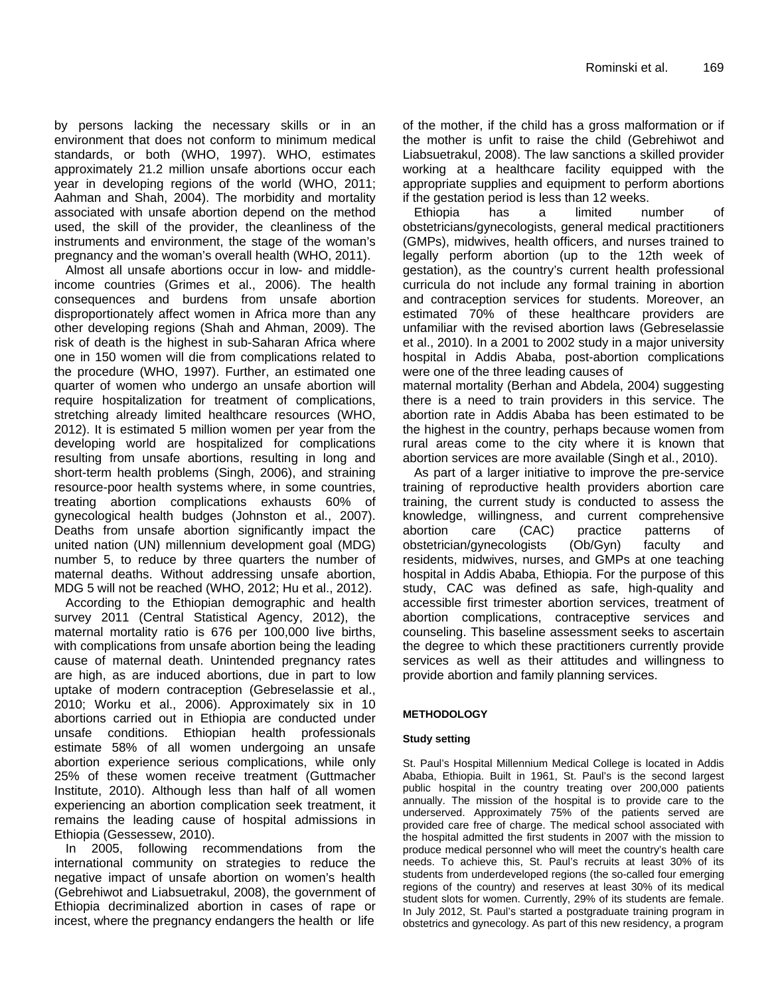by persons lacking the necessary skills or in an environment that does not conform to minimum medical standards, or both (WHO, 1997). WHO, estimates approximately 21.2 million unsafe abortions occur each year in developing regions of the world (WHO, 2011; Aahman and Shah, 2004). The morbidity and mortality associated with unsafe abortion depend on the method used, the skill of the provider, the cleanliness of the instruments and environment, the stage of the woman's pregnancy and the woman's overall health (WHO, 2011).

Almost all unsafe abortions occur in low- and middleincome countries (Grimes et al., 2006). The health consequences and burdens from unsafe abortion disproportionately affect women in Africa more than any other developing regions (Shah and Ahman, 2009). The risk of death is the highest in sub-Saharan Africa where one in 150 women will die from complications related to the procedure (WHO, 1997). Further, an estimated one quarter of women who undergo an unsafe abortion will require hospitalization for treatment of complications, stretching already limited healthcare resources (WHO, 2012). It is estimated 5 million women per year from the developing world are hospitalized for complications resulting from unsafe abortions, resulting in long and short-term health problems (Singh, 2006), and straining resource-poor health systems where, in some countries, treating abortion complications exhausts 60% of gynecological health budges (Johnston et al., 2007). Deaths from unsafe abortion significantly impact the united nation (UN) millennium development goal (MDG) number 5, to reduce by three quarters the number of maternal deaths. Without addressing unsafe abortion, MDG 5 will not be reached (WHO, 2012; Hu et al., 2012).

According to the Ethiopian demographic and health survey 2011 (Central Statistical Agency, 2012), the maternal mortality ratio is 676 per 100,000 live births, with complications from unsafe abortion being the leading cause of maternal death. Unintended pregnancy rates are high, as are induced abortions, due in part to low uptake of modern contraception (Gebreselassie et al., 2010; Worku et al., 2006). Approximately six in 10 abortions carried out in Ethiopia are conducted under unsafe conditions. Ethiopian health professionals estimate 58% of all women undergoing an unsafe abortion experience serious complications, while only 25% of these women receive treatment (Guttmacher Institute, 2010). Although less than half of all women experiencing an abortion complication seek treatment, it remains the leading cause of hospital admissions in Ethiopia (Gessessew, 2010).

In 2005, following recommendations from the international community on strategies to reduce the negative impact of unsafe abortion on women's health (Gebrehiwot and Liabsuetrakul, 2008), the government of Ethiopia decriminalized abortion in cases of rape or incest, where the pregnancy endangers the health or life of the mother, if the child has a gross malformation or if the mother is unfit to raise the child (Gebrehiwot and Liabsuetrakul, 2008). The law sanctions a skilled provider working at a healthcare facility equipped with the appropriate supplies and equipment to perform abortions if the gestation period is less than 12 weeks.

Ethiopia has a limited number of obstetricians/gynecologists, general medical practitioners (GMPs), midwives, health officers, and nurses trained to legally perform abortion (up to the 12th week of gestation), as the country's current health professional curricula do not include any formal training in abortion and contraception services for students. Moreover, an estimated 70% of these healthcare providers are unfamiliar with the revised abortion laws (Gebreselassie et al., 2010). In a 2001 to 2002 study in a major university hospital in Addis Ababa, post-abortion complications were one of the three leading causes of

maternal mortality (Berhan and Abdela, 2004) suggesting there is a need to train providers in this service. The abortion rate in Addis Ababa has been estimated to be the highest in the country, perhaps because women from rural areas come to the city where it is known that abortion services are more available (Singh et al., 2010).

As part of a larger initiative to improve the pre-service training of reproductive health providers abortion care training, the current study is conducted to assess the knowledge, willingness, and current comprehensive abortion care (CAC) practice patterns of obstetrician/gynecologists (Ob/Gyn) faculty and residents, midwives, nurses, and GMPs at one teaching hospital in Addis Ababa, Ethiopia. For the purpose of this study, CAC was defined as safe, high-quality and accessible first trimester abortion services, treatment of abortion complications, contraceptive services and counseling. This baseline assessment seeks to ascertain the degree to which these practitioners currently provide services as well as their attitudes and willingness to provide abortion and family planning services.

## **METHODOLOGY**

#### **Study setting**

St. Paul's Hospital Millennium Medical College is located in Addis Ababa, Ethiopia. Built in 1961, St. Paul's is the second largest public hospital in the country treating over 200,000 patients annually. The mission of the hospital is to provide care to the underserved. Approximately 75% of the patients served are provided care free of charge. The medical school associated with the hospital admitted the first students in 2007 with the mission to produce medical personnel who will meet the country's health care needs. To achieve this, St. Paul's recruits at least 30% of its students from underdeveloped regions (the so-called four emerging regions of the country) and reserves at least 30% of its medical student slots for women. Currently, 29% of its students are female. In July 2012, St. Paul's started a postgraduate training program in obstetrics and gynecology. As part of this new residency, a program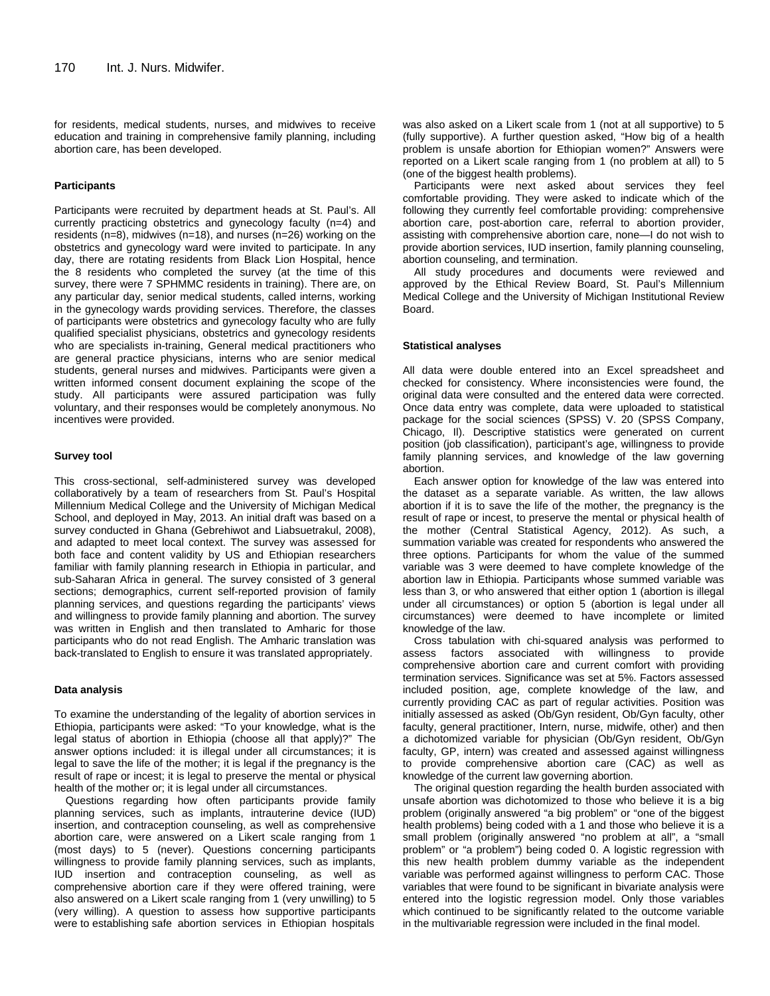for residents, medical students, nurses, and midwives to receive education and training in comprehensive family planning, including abortion care, has been developed.

#### **Participants**

Participants were recruited by department heads at St. Paul's. All currently practicing obstetrics and gynecology faculty (n=4) and residents (n=8), midwives (n=18), and nurses (n=26) working on the obstetrics and gynecology ward were invited to participate. In any day, there are rotating residents from Black Lion Hospital, hence the 8 residents who completed the survey (at the time of this survey, there were 7 SPHMMC residents in training). There are, on any particular day, senior medical students, called interns, working in the gynecology wards providing services. Therefore, the classes of participants were obstetrics and gynecology faculty who are fully qualified specialist physicians, obstetrics and gynecology residents who are specialists in-training, General medical practitioners who are general practice physicians, interns who are senior medical students, general nurses and midwives. Participants were given a written informed consent document explaining the scope of the study. All participants were assured participation was fully voluntary, and their responses would be completely anonymous. No incentives were provided.

#### **Survey tool**

This cross-sectional, self-administered survey was developed collaboratively by a team of researchers from St. Paul's Hospital Millennium Medical College and the University of Michigan Medical School, and deployed in May, 2013. An initial draft was based on a survey conducted in Ghana (Gebrehiwot and Liabsuetrakul, 2008), and adapted to meet local context. The survey was assessed for both face and content validity by US and Ethiopian researchers familiar with family planning research in Ethiopia in particular, and sub-Saharan Africa in general. The survey consisted of 3 general sections; demographics, current self-reported provision of family planning services, and questions regarding the participants' views and willingness to provide family planning and abortion. The survey was written in English and then translated to Amharic for those participants who do not read English. The Amharic translation was back-translated to English to ensure it was translated appropriately.

#### **Data analysis**

To examine the understanding of the legality of abortion services in Ethiopia, participants were asked: "To your knowledge, what is the legal status of abortion in Ethiopia (choose all that apply)?" The answer options included: it is illegal under all circumstances; it is legal to save the life of the mother; it is legal if the pregnancy is the result of rape or incest; it is legal to preserve the mental or physical health of the mother or; it is legal under all circumstances.

Questions regarding how often participants provide family planning services, such as implants, intrauterine device (IUD) insertion, and contraception counseling, as well as comprehensive abortion care, were answered on a Likert scale ranging from 1 (most days) to 5 (never). Questions concerning participants willingness to provide family planning services, such as implants, IUD insertion and contraception counseling, as well as comprehensive abortion care if they were offered training, were also answered on a Likert scale ranging from 1 (very unwilling) to 5 (very willing). A question to assess how supportive participants were to establishing safe abortion services in Ethiopian hospitals was also asked on a Likert scale from 1 (not at all supportive) to 5 (fully supportive). A further question asked, "How big of a health problem is unsafe abortion for Ethiopian women?" Answers were reported on a Likert scale ranging from 1 (no problem at all) to 5 (one of the biggest health problems).

Participants were next asked about services they feel comfortable providing. They were asked to indicate which of the following they currently feel comfortable providing: comprehensive abortion care, post-abortion care, referral to abortion provider, assisting with comprehensive abortion care, none—I do not wish to provide abortion services, IUD insertion, family planning counseling, abortion counseling, and termination.

All study procedures and documents were reviewed and approved by the Ethical Review Board, St. Paul's Millennium Medical College and the University of Michigan Institutional Review Board.

#### **Statistical analyses**

All data were double entered into an Excel spreadsheet and checked for consistency. Where inconsistencies were found, the original data were consulted and the entered data were corrected. Once data entry was complete, data were uploaded to statistical package for the social sciences (SPSS) V. 20 (SPSS Company, Chicago, Il). Descriptive statistics were generated on current position (job classification), participant's age, willingness to provide family planning services, and knowledge of the law governing abortion.

Each answer option for knowledge of the law was entered into the dataset as a separate variable. As written, the law allows abortion if it is to save the life of the mother, the pregnancy is the result of rape or incest, to preserve the mental or physical health of the mother (Central Statistical Agency, 2012). As such, a summation variable was created for respondents who answered the three options. Participants for whom the value of the summed variable was 3 were deemed to have complete knowledge of the abortion law in Ethiopia. Participants whose summed variable was less than 3, or who answered that either option 1 (abortion is illegal under all circumstances) or option 5 (abortion is legal under all circumstances) were deemed to have incomplete or limited knowledge of the law.

Cross tabulation with chi-squared analysis was performed to assess factors associated with willingness to provide comprehensive abortion care and current comfort with providing termination services. Significance was set at 5%. Factors assessed included position, age, complete knowledge of the law, and currently providing CAC as part of regular activities. Position was initially assessed as asked (Ob/Gyn resident, Ob/Gyn faculty, other faculty, general practitioner, Intern, nurse, midwife, other) and then a dichotomized variable for physician (Ob/Gyn resident, Ob/Gyn faculty, GP, intern) was created and assessed against willingness to provide comprehensive abortion care (CAC) as well as knowledge of the current law governing abortion.

The original question regarding the health burden associated with unsafe abortion was dichotomized to those who believe it is a big problem (originally answered "a big problem" or "one of the biggest health problems) being coded with a 1 and those who believe it is a small problem (originally answered "no problem at all", a "small problem" or "a problem") being coded 0. A logistic regression with this new health problem dummy variable as the independent variable was performed against willingness to perform CAC. Those variables that were found to be significant in bivariate analysis were entered into the logistic regression model. Only those variables which continued to be significantly related to the outcome variable in the multivariable regression were included in the final model.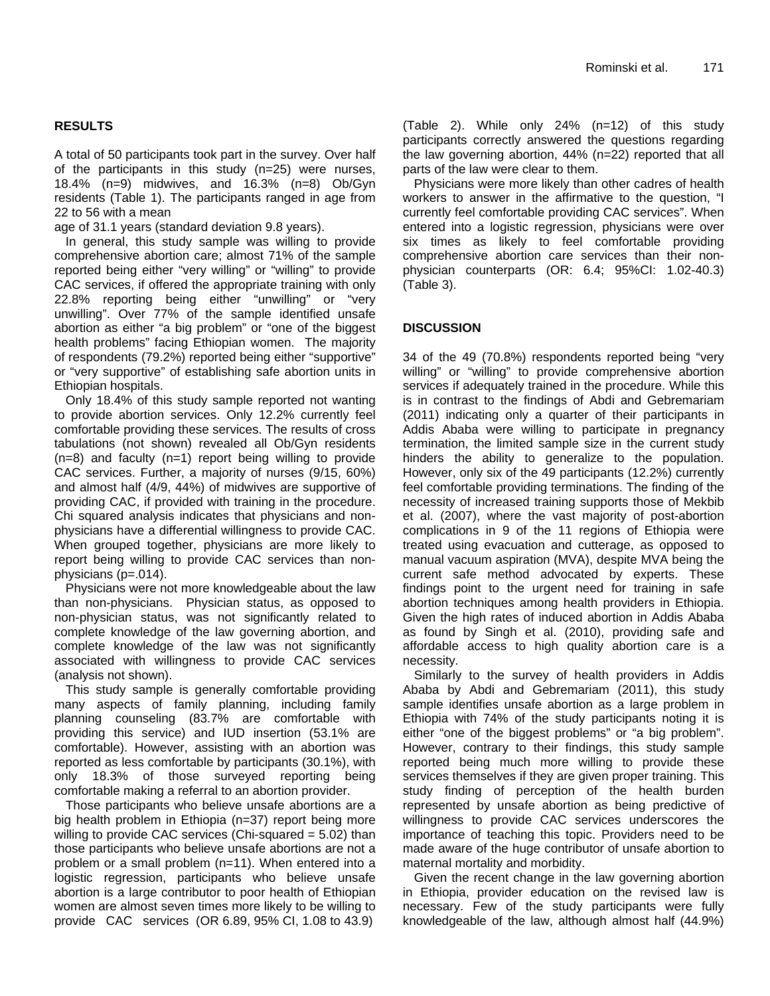# **RESULTS**

A total of 50 participants took part in the survey. Over half of the participants in this study (n=25) were nurses, 18.4% (n=9) midwives, and 16.3% (n=8) Ob/Gyn residents (Table 1). The participants ranged in age from 22 to 56 with a mean

age of 31.1 years (standard deviation 9.8 years).

In general, this study sample was willing to provide comprehensive abortion care; almost 71% of the sample reported being either "very willing" or "willing" to provide CAC services, if offered the appropriate training with only 22.8% reporting being either "unwilling" or "very unwilling". Over 77% of the sample identified unsafe abortion as either "a big problem" or "one of the biggest health problems" facing Ethiopian women. The majority of respondents (79.2%) reported being either "supportive" or "very supportive" of establishing safe abortion units in Ethiopian hospitals.

Only 18.4% of this study sample reported not wanting to provide abortion services. Only 12.2% currently feel comfortable providing these services. The results of cross tabulations (not shown) revealed all Ob/Gyn residents (n=8) and faculty (n=1) report being willing to provide CAC services. Further, a majority of nurses (9/15, 60%) and almost half (4/9, 44%) of midwives are supportive of providing CAC, if provided with training in the procedure. Chi squared analysis indicates that physicians and nonphysicians have a differential willingness to provide CAC. When grouped together, physicians are more likely to report being willing to provide CAC services than nonphysicians (p=.014).

Physicians were not more knowledgeable about the law than non-physicians. Physician status, as opposed to non-physician status, was not significantly related to complete knowledge of the law governing abortion, and complete knowledge of the law was not significantly associated with willingness to provide CAC services (analysis not shown).

This study sample is generally comfortable providing many aspects of family planning, including family planning counseling (83.7% are comfortable with providing this service) and IUD insertion (53.1% are comfortable). However, assisting with an abortion was reported as less comfortable by participants (30.1%), with only 18.3% of those surveyed reporting being comfortable making a referral to an abortion provider.

Those participants who believe unsafe abortions are a big health problem in Ethiopia (n=37) report being more willing to provide CAC services (Chi-squared = 5.02) than those participants who believe unsafe abortions are not a problem or a small problem (n=11). When entered into a logistic regression, participants who believe unsafe abortion is a large contributor to poor health of Ethiopian women are almost seven times more likely to be willing to provide CAC services (OR 6.89, 95% CI, 1.08 to 43.9)

(Table 2). While only 24% (n=12) of this study participants correctly answered the questions regarding the law governing abortion, 44% (n=22) reported that all parts of the law were clear to them.

Physicians were more likely than other cadres of health workers to answer in the affirmative to the question, "I currently feel comfortable providing CAC services". When entered into a logistic regression, physicians were over six times as likely to feel comfortable providing comprehensive abortion care services than their nonphysician counterparts (OR: 6.4; 95%CI: 1.02-40.3) (Table 3).

# **DISCUSSION**

34 of the 49 (70.8%) respondents reported being "very willing" or "willing" to provide comprehensive abortion services if adequately trained in the procedure. While this is in contrast to the findings of Abdi and Gebremariam (2011) indicating only a quarter of their participants in Addis Ababa were willing to participate in pregnancy termination, the limited sample size in the current study hinders the ability to generalize to the population. However, only six of the 49 participants (12.2%) currently feel comfortable providing terminations. The finding of the necessity of increased training supports those of Mekbib et al. (2007), where the vast majority of post-abortion complications in 9 of the 11 regions of Ethiopia were treated using evacuation and cutterage, as opposed to manual vacuum aspiration (MVA), despite MVA being the current safe method advocated by experts. These findings point to the urgent need for training in safe abortion techniques among health providers in Ethiopia. Given the high rates of induced abortion in Addis Ababa as found by Singh et al. (2010), providing safe and affordable access to high quality abortion care is a necessity.

Similarly to the survey of health providers in Addis Ababa by Abdi and Gebremariam (2011), this study sample identifies unsafe abortion as a large problem in Ethiopia with 74% of the study participants noting it is either "one of the biggest problems" or "a big problem". However, contrary to their findings, this study sample reported being much more willing to provide these services themselves if they are given proper training. This study finding of perception of the health burden represented by unsafe abortion as being predictive of willingness to provide CAC services underscores the importance of teaching this topic. Providers need to be made aware of the huge contributor of unsafe abortion to maternal mortality and morbidity.

Given the recent change in the law governing abortion in Ethiopia, provider education on the revised law is necessary. Few of the study participants were fully knowledgeable of the law, although almost half (44.9%)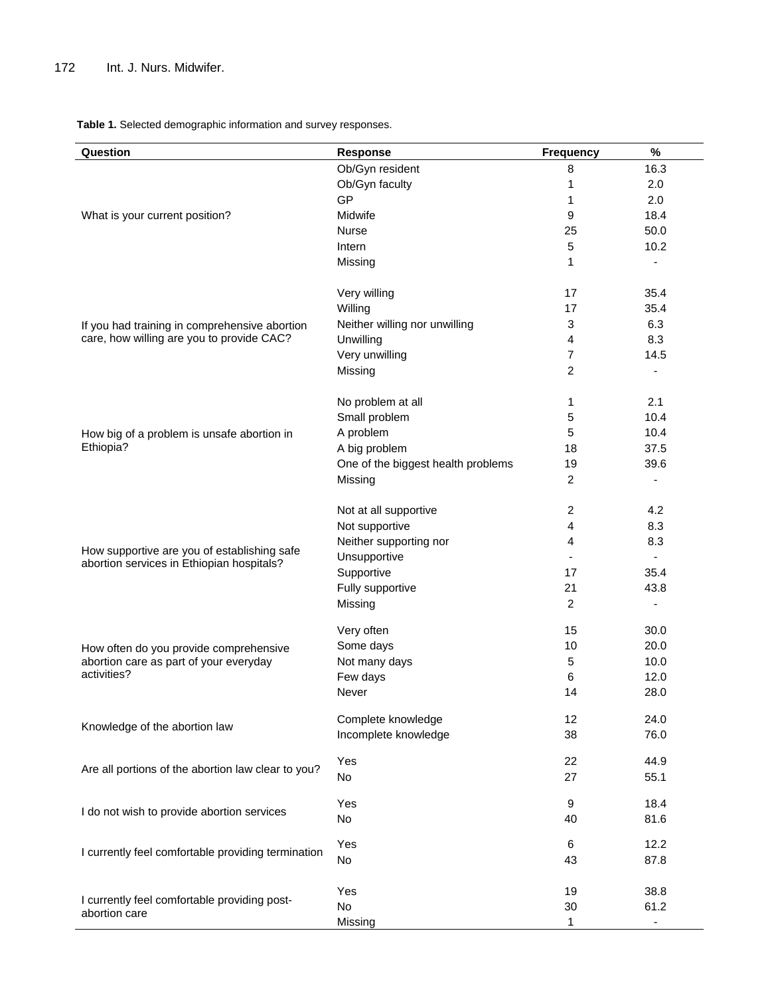**Table 1.** Selected demographic information and survey responses.

| Question                                              | <b>Response</b>                    | <b>Frequency</b>         | %                        |
|-------------------------------------------------------|------------------------------------|--------------------------|--------------------------|
|                                                       | Ob/Gyn resident                    | 8                        | 16.3                     |
|                                                       | Ob/Gyn faculty                     | 1                        | 2.0                      |
|                                                       | GP                                 | 1                        | 2.0                      |
| What is your current position?                        | Midwife                            | 9                        | 18.4                     |
|                                                       | <b>Nurse</b>                       | 25                       | 50.0                     |
|                                                       | Intern                             | 5                        | 10.2                     |
|                                                       | Missing                            | 1                        | $\overline{\phantom{a}}$ |
|                                                       |                                    |                          |                          |
|                                                       | Very willing                       | 17                       | 35.4                     |
|                                                       | Willing                            | 17                       | 35.4                     |
| If you had training in comprehensive abortion         | Neither willing nor unwilling      | 3                        | 6.3                      |
| care, how willing are you to provide CAC?             | Unwilling                          | 4                        | 8.3                      |
|                                                       | Very unwilling                     | 7                        | 14.5                     |
|                                                       | Missing                            | 2                        |                          |
|                                                       |                                    |                          |                          |
|                                                       | No problem at all                  | 1                        | 2.1                      |
|                                                       | Small problem                      | 5                        | 10.4                     |
| How big of a problem is unsafe abortion in            | A problem                          | 5                        | 10.4                     |
| Ethiopia?                                             | A big problem                      | 18                       | 37.5                     |
|                                                       | One of the biggest health problems | 19                       | 39.6                     |
|                                                       | Missing                            | 2                        | $\overline{\phantom{a}}$ |
|                                                       | Not at all supportive              | 2                        | 4.2                      |
| How supportive are you of establishing safe           | Not supportive                     | 4                        | 8.3                      |
|                                                       | Neither supporting nor             | 4                        | 8.3                      |
|                                                       | Unsupportive                       | $\overline{\phantom{a}}$ | $\blacksquare$           |
| abortion services in Ethiopian hospitals?             | Supportive                         | 17                       | 35.4                     |
|                                                       | Fully supportive                   | 21                       | 43.8                     |
|                                                       | Missing                            | 2                        | $\overline{\phantom{a}}$ |
|                                                       |                                    |                          |                          |
|                                                       | Very often                         | 15                       | 30.0                     |
| How often do you provide comprehensive                | Some days                          | 10                       | 20.0                     |
| abortion care as part of your everyday<br>activities? | Not many days                      | 5                        | 10.0                     |
|                                                       | Few days                           | 6                        | 12.0                     |
|                                                       | Never                              | 14                       | 28.0                     |
|                                                       | Complete knowledge                 | 12                       | 24.0                     |
| Knowledge of the abortion law                         | Incomplete knowledge               | 38                       | 76.0                     |
|                                                       | Yes                                | 22                       | 44.9                     |
| Are all portions of the abortion law clear to you?    | No                                 | 27                       | 55.1                     |
|                                                       |                                    |                          |                          |
| I do not wish to provide abortion services            | Yes                                | 9                        | 18.4                     |
|                                                       | No                                 | 40                       | 81.6                     |
|                                                       | Yes                                | 6                        | 12.2                     |
| I currently feel comfortable providing termination    | No                                 | 43                       | 87.8                     |
|                                                       |                                    |                          |                          |
| I currently feel comfortable providing post-          | Yes                                | 19                       | 38.8                     |
| abortion care                                         | No                                 | 30                       | 61.2                     |
|                                                       | Missing                            | 1                        |                          |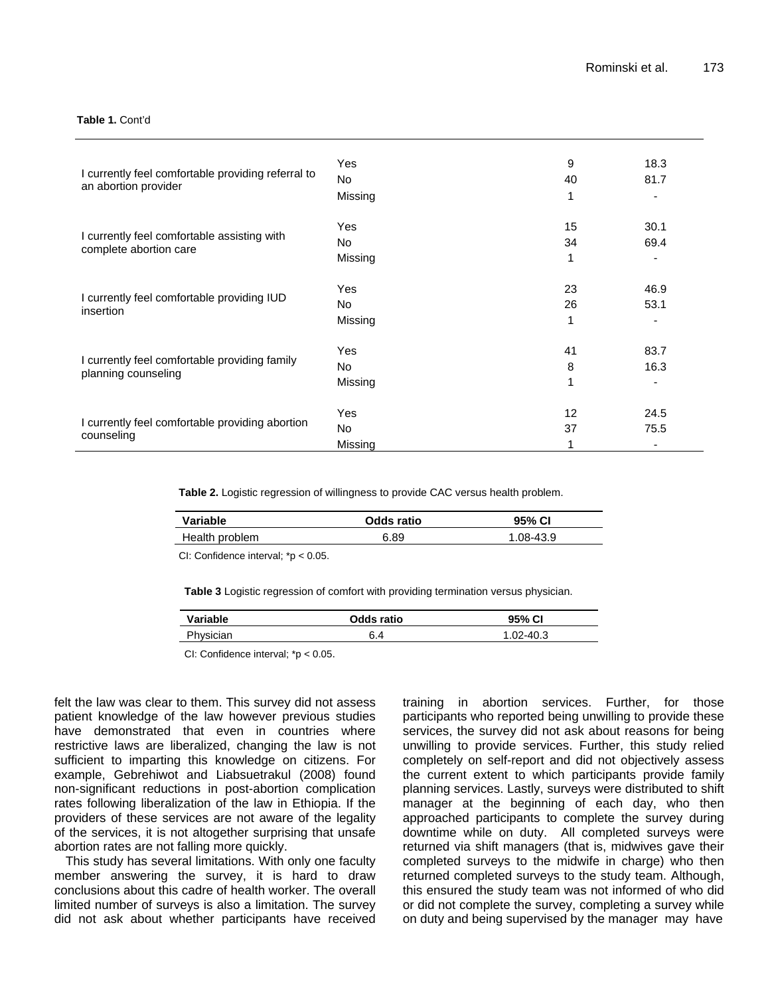#### **Table 1.** Cont'd

| I currently feel comfortable providing referral to                    | Yes       | 9                 | 18.3                     |
|-----------------------------------------------------------------------|-----------|-------------------|--------------------------|
| an abortion provider                                                  | <b>No</b> | 40                | 81.7                     |
|                                                                       | Missing   | 1                 |                          |
| I currently feel comfortable assisting with<br>complete abortion care | Yes       | 15                | 30.1                     |
|                                                                       | <b>No</b> | 34                | 69.4                     |
|                                                                       | Missing   | 1                 | $\overline{\phantom{0}}$ |
| I currently feel comfortable providing IUD<br>insertion               | Yes       | 23                | 46.9                     |
|                                                                       | <b>No</b> | 26                | 53.1                     |
|                                                                       | Missing   | 1                 |                          |
| I currently feel comfortable providing family<br>planning counseling  | Yes       | 41                | 83.7                     |
|                                                                       | <b>No</b> | 8                 | 16.3                     |
|                                                                       | Missing   | 1                 | $\overline{\phantom{0}}$ |
|                                                                       | Yes       | $12 \overline{ }$ | 24.5                     |
| I currently feel comfortable providing abortion                       | <b>No</b> | 37                | 75.5                     |
| counseling                                                            | Missing   |                   |                          |

**Table 2.** Logistic regression of willingness to provide CAC versus health problem.

| Variable       | Odds ratio | 95% CI    |
|----------------|------------|-----------|
| Health problem | 6.89       | 1.08-43.9 |

CI: Confidence interval; \*p < 0.05.

**Table 3** Logistic regression of comfort with providing termination versus physician.

| Variable  | Odds ratio | 95% CI    |
|-----------|------------|-----------|
| Physician | 6.4        | 1.02-40.3 |

CI: Confidence interval; \*p < 0.05.

felt the law was clear to them. This survey did not assess patient knowledge of the law however previous studies have demonstrated that even in countries where restrictive laws are liberalized, changing the law is not sufficient to imparting this knowledge on citizens. For example, Gebrehiwot and Liabsuetrakul (2008) found non-significant reductions in post-abortion complication rates following liberalization of the law in Ethiopia. If the providers of these services are not aware of the legality of the services, it is not altogether surprising that unsafe abortion rates are not falling more quickly.

This study has several limitations. With only one faculty member answering the survey, it is hard to draw conclusions about this cadre of health worker. The overall limited number of surveys is also a limitation. The survey did not ask about whether participants have received training in abortion services. Further, for those participants who reported being unwilling to provide these services, the survey did not ask about reasons for being unwilling to provide services. Further, this study relied completely on self-report and did not objectively assess the current extent to which participants provide family planning services. Lastly, surveys were distributed to shift manager at the beginning of each day, who then approached participants to complete the survey during downtime while on duty. All completed surveys were returned via shift managers (that is, midwives gave their completed surveys to the midwife in charge) who then returned completed surveys to the study team. Although, this ensured the study team was not informed of who did or did not complete the survey, completing a survey while on duty and being supervised by the manager may have